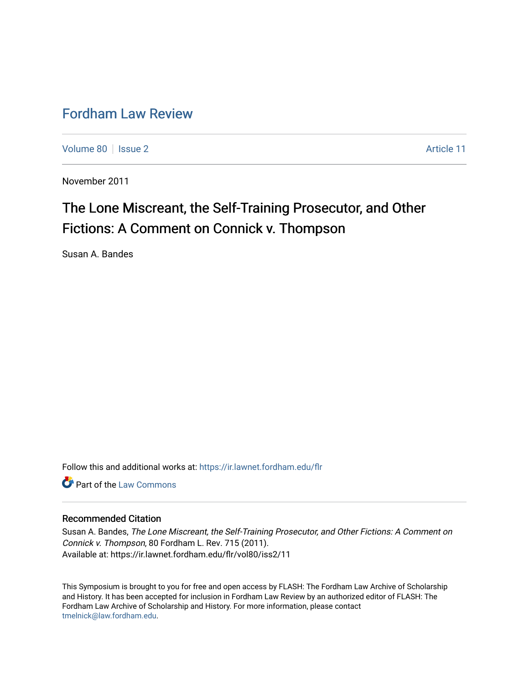# [Fordham Law Review](https://ir.lawnet.fordham.edu/flr)

[Volume 80](https://ir.lawnet.fordham.edu/flr/vol80) | [Issue 2](https://ir.lawnet.fordham.edu/flr/vol80/iss2) Article 11

November 2011

# The Lone Miscreant, the Self-Training Prosecutor, and Other Fictions: A Comment on Connick v. Thompson

Susan A. Bandes

Follow this and additional works at: [https://ir.lawnet.fordham.edu/flr](https://ir.lawnet.fordham.edu/flr?utm_source=ir.lawnet.fordham.edu%2Fflr%2Fvol80%2Fiss2%2F11&utm_medium=PDF&utm_campaign=PDFCoverPages)

**Part of the [Law Commons](http://network.bepress.com/hgg/discipline/578?utm_source=ir.lawnet.fordham.edu%2Fflr%2Fvol80%2Fiss2%2F11&utm_medium=PDF&utm_campaign=PDFCoverPages)** 

# Recommended Citation

Susan A. Bandes, The Lone Miscreant, the Self-Training Prosecutor, and Other Fictions: A Comment on Connick v. Thompson, 80 Fordham L. Rev. 715 (2011). Available at: https://ir.lawnet.fordham.edu/flr/vol80/iss2/11

This Symposium is brought to you for free and open access by FLASH: The Fordham Law Archive of Scholarship and History. It has been accepted for inclusion in Fordham Law Review by an authorized editor of FLASH: The Fordham Law Archive of Scholarship and History. For more information, please contact [tmelnick@law.fordham.edu](mailto:tmelnick@law.fordham.edu).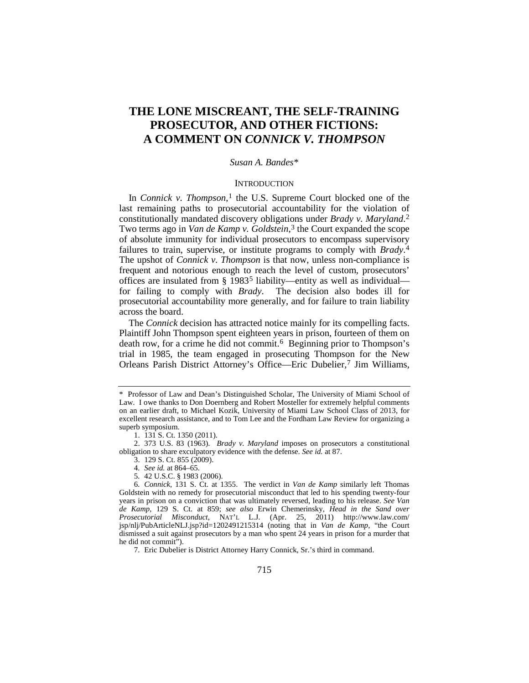# **THE LONE MISCREANT, THE SELF-TRAINING PROSECUTOR, AND OTHER FICTIONS: A COMMENT ON** *CONNICK V. THOMPSON*

# *Susan A. Bandes*[\\*](#page-1-0)

#### **INTRODUCTION**

In *Connick v. Thompson*,<sup>[1](#page-1-1)</sup> the U.S. Supreme Court blocked one of the last remaining paths to prosecutorial accountability for the violation of constitutionally mandated discovery obligations under *Brady v. Maryland*. [2](#page-1-2) Two terms ago in *Van de Kamp v. Goldstein*<sup>[3](#page-1-3)</sup>, the Court expanded the scope of absolute immunity for individual prosecutors to encompass supervisory failures to train, supervise, or institute programs to comply with *Brady*. [4](#page-1-4) The upshot of *Connick v. Thompson* is that now, unless non-compliance is frequent and notorious enough to reach the level of custom, prosecutors' offices are insulated from § 1983[5](#page-1-5) liability—entity as well as individual for failing to comply with *Brady*. The decision also bodes ill for prosecutorial accountability more generally, and for failure to train liability across the board.

<span id="page-1-8"></span>The *Connick* decision has attracted notice mainly for its compelling facts. Plaintiff John Thompson spent eighteen years in prison, fourteen of them on death row, for a crime he did not commit. [6](#page-1-6) Beginning prior to Thompson's trial in 1985, the team engaged in prosecuting Thompson for the New Orleans Parish District Attorney's Office—Eric Dubelier,[7](#page-1-7) Jim Williams,

- 4*. See id.* at 864–65.
- 5*.* 42 U.S.C. § 1983 (2006).

<span id="page-1-7"></span>7. Eric Dubelier is District Attorney Harry Connick, Sr.'s third in command.

<span id="page-1-0"></span><sup>\*</sup> Professor of Law and Dean's Distinguished Scholar, The University of Miami School of Law. I owe thanks to Don Doernberg and Robert Mosteller for extremely helpful comments on an earlier draft, to Michael Kozik, University of Miami Law School Class of 2013, for excellent research assistance, and to Tom Lee and the Fordham Law Review for organizing a superb symposium.

<sup>1.</sup> 131 S. Ct. 1350 (2011).

<span id="page-1-3"></span><span id="page-1-2"></span><span id="page-1-1"></span><sup>2.</sup> 373 U.S. 83 (1963). *Brady v. Maryland* imposes on prosecutors a constitutional obligation to share exculpatory evidence with the defense. *See id.* at 87.

<sup>3.</sup> 129 S. Ct. 855 (2009).

<span id="page-1-6"></span><span id="page-1-5"></span><span id="page-1-4"></span><sup>6</sup>*. Connick*, 131 S. Ct. at 1355. The verdict in *Van de Kamp* similarly left Thomas Goldstein with no remedy for prosecutorial misconduct that led to his spending twenty-four years in prison on a conviction that was ultimately reversed, leading to his release. *See Van de Kamp*, 129 S. Ct. at 859; *see also* Erwin Chemerinsky, *Head in the Sand over Prosecutorial Misconduct*, NAT'L L.J. (Apr. 25, 2011) http://www.law.com/ jsp/nlj/PubArticleNLJ.jsp?id=1202491215314 (noting that in *Van de Kamp*, "the Court dismissed a suit against prosecutors by a man who spent 24 years in prison for a murder that he did not commit").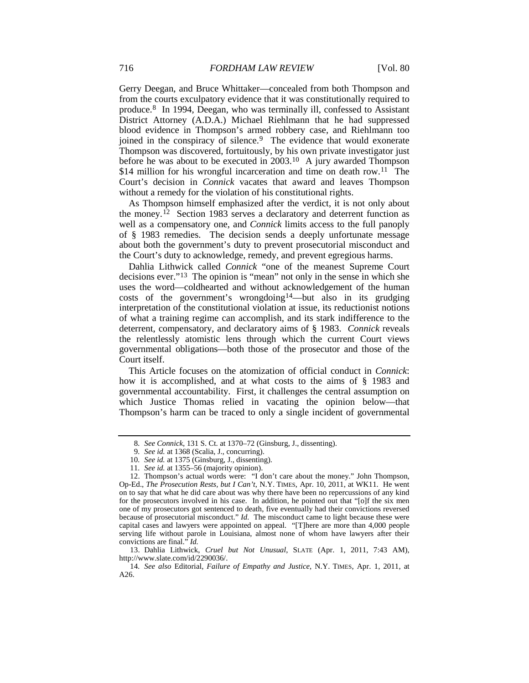Gerry Deegan, and Bruce Whittaker—concealed from both Thompson and from the courts exculpatory evidence that it was constitutionally required to produce.[8](#page-2-0) In 1994, Deegan, who was terminally ill, confessed to Assistant District Attorney (A.D.A.) Michael Riehlmann that he had suppressed blood evidence in Thompson's armed robbery case, and Riehlmann too joined in the conspiracy of silence.<sup>[9](#page-2-1)</sup> The evidence that would exonerate Thompson was discovered, fortuitously, by his own private investigator just before he was about to be executed in 2003.<sup>[10](#page-2-2)</sup> A jury awarded Thompson \$14 million for his wrongful incarceration and time on death row.<sup>[11](#page-2-3)</sup> The Court's decision in *Connick* vacates that award and leaves Thompson without a remedy for the violation of his constitutional rights.

As Thompson himself emphasized after the verdict, it is not only about the money. [12](#page-2-4) Section 1983 serves a declaratory and deterrent function as well as a compensatory one, and *Connick* limits access to the full panoply of § 1983 remedies. The decision sends a deeply unfortunate message about both the government's duty to prevent prosecutorial misconduct and the Court's duty to acknowledge, remedy, and prevent egregious harms.

Dahlia Lithwick called *Connick* "one of the meanest Supreme Court decisions ever." [13](#page-2-5) The opinion is "mean" not only in the sense in which she uses the word—coldhearted and without acknowledgement of the human costs of the government's wrongdoing<sup>[14](#page-2-6)</sup>—but also in its grudging interpretation of the constitutional violation at issue, its reductionist notions of what a training regime can accomplish, and its stark indifference to the deterrent, compensatory, and declaratory aims of § 1983. *Connick* reveals the relentlessly atomistic lens through which the current Court views governmental obligations—both those of the prosecutor and those of the Court itself.

This Article focuses on the atomization of official conduct in *Connick*: how it is accomplished, and at what costs to the aims of § 1983 and governmental accountability. First, it challenges the central assumption on which Justice Thomas relied in vacating the opinion below—that Thompson's harm can be traced to only a single incident of governmental

<sup>8</sup>*. See Connick*, 131 S. Ct. at 1370–72 (Ginsburg, J., dissenting).

<sup>9</sup>*. See id.* at 1368 (Scalia, J., concurring).

<sup>10</sup>*. See id.* at 1375 (Ginsburg, J., dissenting).

<sup>11</sup>*. See id.* at 1355–56 (majority opinion).

<span id="page-2-4"></span><span id="page-2-3"></span><span id="page-2-2"></span><span id="page-2-1"></span><span id="page-2-0"></span><sup>12.</sup> Thompson's actual words were: "I don't care about the money." John Thompson, Op-Ed., *The Prosecution Rests, but I Can't*, N.Y. TIMES, Apr. 10, 2011, at WK11. He went on to say that what he did care about was why there have been no repercussions of any kind for the prosecutors involved in his case. In addition, he pointed out that "[o]f the six men one of my prosecutors got sentenced to death, five eventually had their convictions reversed because of prosecutorial misconduct." *Id.* The misconduct came to light because these were capital cases and lawyers were appointed on appeal. "[T]here are more than 4,000 people serving life without parole in Louisiana, almost none of whom have lawyers after their convictions are final." *Id.*

<span id="page-2-5"></span><sup>13.</sup> Dahlia Lithwick, *Cruel but Not Unusual*, SLATE (Apr. 1, 2011, 7:43 AM), http://www.slate.com/id/2290036/.

<span id="page-2-6"></span><sup>14</sup>*. See also* Editorial, *Failure of Empathy and Justice*, N.Y. TIMES, Apr. 1, 2011, at A26.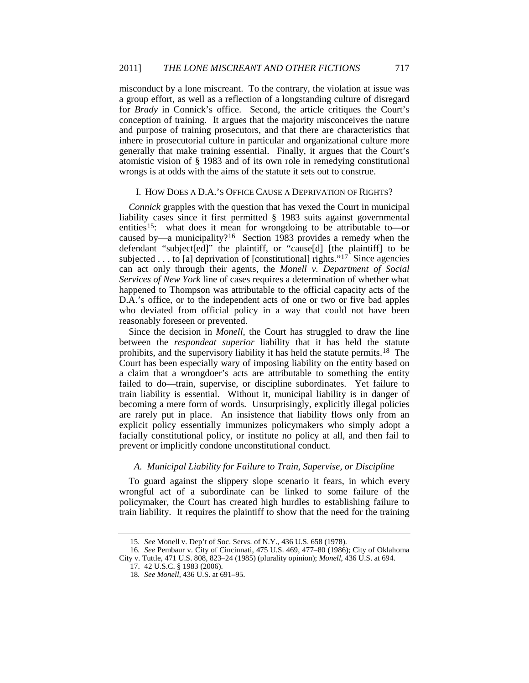misconduct by a lone miscreant. To the contrary, the violation at issue was a group effort, as well as a reflection of a longstanding culture of disregard for *Brady* in Connick's office. Second, the article critiques the Court's conception of training. It argues that the majority misconceives the nature and purpose of training prosecutors, and that there are characteristics that inhere in prosecutorial culture in particular and organizational culture more generally that make training essential. Finally, it argues that the Court's atomistic vision of § 1983 and of its own role in remedying constitutional wrongs is at odds with the aims of the statute it sets out to construe.

# I. HOW DOES A D.A.'S OFFICE CAUSE A DEPRIVATION OF RIGHTS?

*Connick* grapples with the question that has vexed the Court in municipal liability cases since it first permitted § 1983 suits against governmental entities<sup>[15](#page-3-0)</sup>: what does it mean for wrongdoing to be attributable to—or caused by—a municipality?[16](#page-3-1) Section 1983 provides a remedy when the defendant "subject[ed]" the plaintiff, or "cause[d] [the plaintiff] to be subjected . . . to [a] deprivation of [constitutional] rights."<sup>[17](#page-3-2)</sup> Since agencies can act only through their agents, the *Monell v. Department of Social Services of New York* line of cases requires a determination of whether what happened to Thompson was attributable to the official capacity acts of the D.A.'s office, or to the independent acts of one or two or five bad apples who deviated from official policy in a way that could not have been reasonably foreseen or prevented.

Since the decision in *Monell*, the Court has struggled to draw the line between the *respondeat superior* liability that it has held the statute prohibits, and the supervisory liability it has held the statute permits.<sup>[18](#page-3-3)</sup> The Court has been especially wary of imposing liability on the entity based on a claim that a wrongdoer's acts are attributable to something the entity failed to do—train, supervise, or discipline subordinates. Yet failure to train liability is essential. Without it, municipal liability is in danger of becoming a mere form of words. Unsurprisingly, explicitly illegal policies are rarely put in place. An insistence that liability flows only from an explicit policy essentially immunizes policymakers who simply adopt a facially constitutional policy, or institute no policy at all, and then fail to prevent or implicitly condone unconstitutional conduct.

#### *A. Municipal Liability for Failure to Train, Supervise, or Discipline*

To guard against the slippery slope scenario it fears, in which every wrongful act of a subordinate can be linked to some failure of the policymaker, the Court has created high hurdles to establishing failure to train liability. It requires the plaintiff to show that the need for the training

<sup>15</sup>*. See* Monell v. Dep't of Soc. Servs. of N.Y., 436 U.S. 658 (1978).

<span id="page-3-3"></span><span id="page-3-2"></span><span id="page-3-1"></span><span id="page-3-0"></span><sup>16</sup>*. See* Pembaur v. City of Cincinnati, 475 U.S. 469, 477–80 (1986); City of Oklahoma City v. Tuttle, 471 U.S. 808, 823–24 (1985) (plurality opinion); *Monell*, 436 U.S. at 694.

<sup>17.</sup> 42 U.S.C. § 1983 (2006).

<sup>18</sup>*. See Monell*, 436 U.S. at 691–95.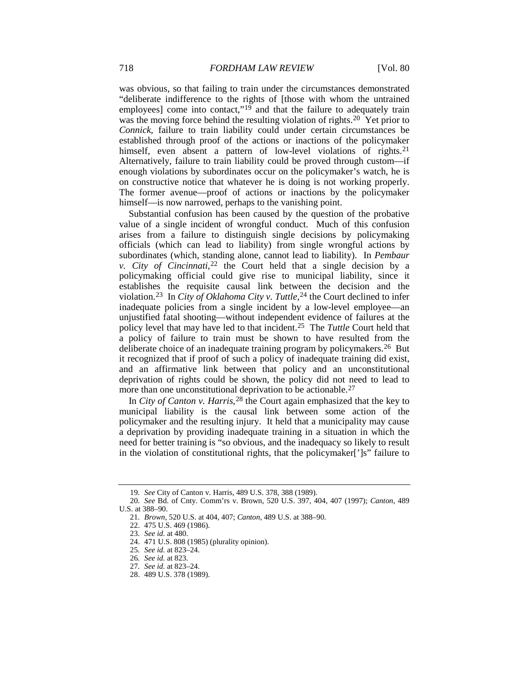was obvious, so that failing to train under the circumstances demonstrated "deliberate indifference to the rights of [those with whom the untrained employees] come into contact," $19$  and that the failure to adequately train was the moving force behind the resulting violation of rights.<sup>20</sup> Yet prior to *Connick*, failure to train liability could under certain circumstances be established through proof of the actions or inactions of the policymaker himself, even absent a pattern of low-level violations of rights.<sup>[21](#page-4-2)</sup> Alternatively, failure to train liability could be proved through custom—if enough violations by subordinates occur on the policymaker's watch, he is on constructive notice that whatever he is doing is not working properly. The former avenue—proof of actions or inactions by the policymaker himself—is now narrowed, perhaps to the vanishing point.

Substantial confusion has been caused by the question of the probative value of a single incident of wrongful conduct. Much of this confusion arises from a failure to distinguish single decisions by policymaking officials (which can lead to liability) from single wrongful actions by subordinates (which, standing alone, cannot lead to liability). In *Pembaur v. City of Cincinnati*, [22](#page-4-3) the Court held that a single decision by a policymaking official could give rise to municipal liability, since it establishes the requisite causal link between the decision and the violation.<sup>23</sup> In *City of Oklahoma City v. Tuttle*,<sup>[24](#page-4-5)</sup> the Court declined to infer inadequate policies from a single incident by a low-level employee—an unjustified fatal shooting—without independent evidence of failures at the policy level that may have led to that incident.[25](#page-4-6) The *Tuttle* Court held that a policy of failure to train must be shown to have resulted from the deliberate choice of an inadequate training program by policymakers[.26](#page-4-7) But it recognized that if proof of such a policy of inadequate training did exist, and an affirmative link between that policy and an unconstitutional deprivation of rights could be shown, the policy did not need to lead to more than one unconstitutional deprivation to be actionable.<sup>[27](#page-4-8)</sup>

In *City of Canton v. Harris*,<sup>[28](#page-4-9)</sup> the Court again emphasized that the key to municipal liability is the causal link between some action of the policymaker and the resulting injury. It held that a municipality may cause a deprivation by providing inadequate training in a situation in which the need for better training is "so obvious, and the inadequacy so likely to result in the violation of constitutional rights, that the policymaker[']s" failure to

<sup>19</sup>*. See* City of Canton v. Harris, 489 U.S. 378, 388 (1989).

<span id="page-4-6"></span><span id="page-4-5"></span><span id="page-4-4"></span><span id="page-4-3"></span><span id="page-4-2"></span><span id="page-4-1"></span><span id="page-4-0"></span><sup>20</sup>*. See* Bd. of Cnty. Comm'rs v. Brown, 520 U.S. 397, 404, 407 (1997); *Canton*, 489 U.S. at 388–90.

<sup>21</sup>*. Brown*, 520 U.S. at 404, 407; *Canton*, 489 U.S. at 388–90.

<sup>22.</sup> 475 U.S. 469 (1986).

<sup>23</sup>*. See id.* at 480.

<sup>24.</sup> 471 U.S. 808 (1985) (plurality opinion).

<sup>25</sup>*. See id.* at 823–24.

<span id="page-4-7"></span><sup>26</sup>*. See id.* at 823.

<span id="page-4-8"></span><sup>27</sup>*. See id.* at 823–24.

<span id="page-4-9"></span><sup>28.</sup> 489 U.S. 378 (1989).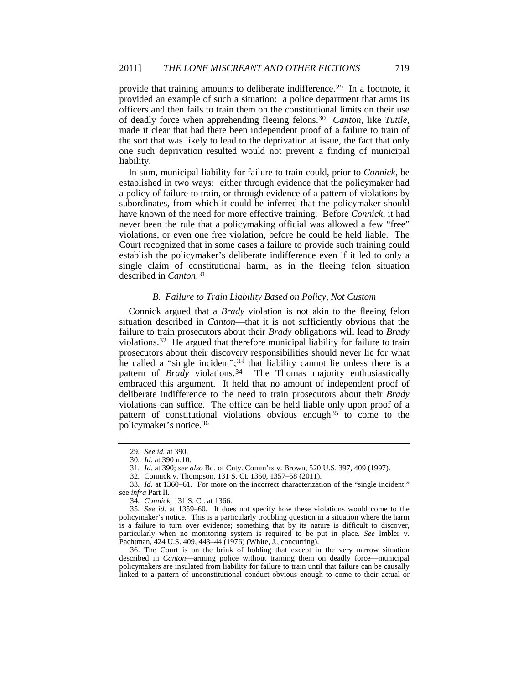provide that training amounts to deliberate indifference.[29](#page-5-0) In a footnote, it provided an example of such a situation: a police department that arms its officers and then fails to train them on the constitutional limits on their use of deadly force when apprehending fleeing felons.[30](#page-5-1) *Canton*, like *Tuttle*, made it clear that had there been independent proof of a failure to train of the sort that was likely to lead to the deprivation at issue, the fact that only one such deprivation resulted would not prevent a finding of municipal liability.

In sum, municipal liability for failure to train could, prior to *Connick*, be established in two ways: either through evidence that the policymaker had a policy of failure to train, or through evidence of a pattern of violations by subordinates, from which it could be inferred that the policymaker should have known of the need for more effective training. Before *Connick*, it had never been the rule that a policymaking official was allowed a few "free" violations, or even one free violation, before he could be held liable. The Court recognized that in some cases a failure to provide such training could establish the policymaker's deliberate indifference even if it led to only a single claim of constitutional harm, as in the fleeing felon situation described in *Canton*. [31](#page-5-2)

# *B. Failure to Train Liability Based on Policy, Not Custom*

Connick argued that a *Brady* violation is not akin to the fleeing felon situation described in *Canton*—that it is not sufficiently obvious that the failure to train prosecutors about their *Brady* obligations will lead to *Brady* violations.[32](#page-5-3) He argued that therefore municipal liability for failure to train prosecutors about their discovery responsibilities should never lie for what he called a "single incident";<sup>[33](#page-5-4)</sup> that liability cannot lie unless there is a pattern of *Brady* violations.<sup>34</sup> The Thomas majority enthusiastically embraced this argument. It held that no amount of independent proof of deliberate indifference to the need to train prosecutors about their *Brady* violations can suffice. The office can be held liable only upon proof of a pattern of constitutional violations obvious enough  $35$  to come to the policymaker's notice.[36](#page-5-7)

<sup>29</sup>*. See id.* at 390.

<sup>30</sup>*. Id.* at 390 n.10.

<sup>31</sup>*. Id.* at 390; *see also* Bd. of Cnty. Comm'rs v. Brown, 520 U.S. 397, 409 (1997).

<sup>32</sup>*.* Connick v. Thompson, 131 S. Ct. 1350, 1357–58 (2011).

<span id="page-5-4"></span><span id="page-5-3"></span><span id="page-5-2"></span><span id="page-5-1"></span><span id="page-5-0"></span><sup>33</sup>*. Id.* at 1360–61. For more on the incorrect characterization of the "single incident," see *infra* Part II.

<sup>34</sup>*. Connick*, 131 S. Ct. at 1366.

<span id="page-5-6"></span><span id="page-5-5"></span><sup>35</sup>*. See id.* at 1359–60. It does not specify how these violations would come to the policymaker's notice. This is a particularly troubling question in a situation where the harm is a failure to turn over evidence; something that by its nature is difficult to discover, particularly when no monitoring system is required to be put in place. *See* Imbler v. Pachtman, 424 U.S. 409, 443–44 (1976) (White, J., concurring).

<span id="page-5-7"></span><sup>36.</sup> The Court is on the brink of holding that except in the very narrow situation described in *Canton*—arming police without training them on deadly force—municipal policymakers are insulated from liability for failure to train until that failure can be causally linked to a pattern of unconstitutional conduct obvious enough to come to their actual or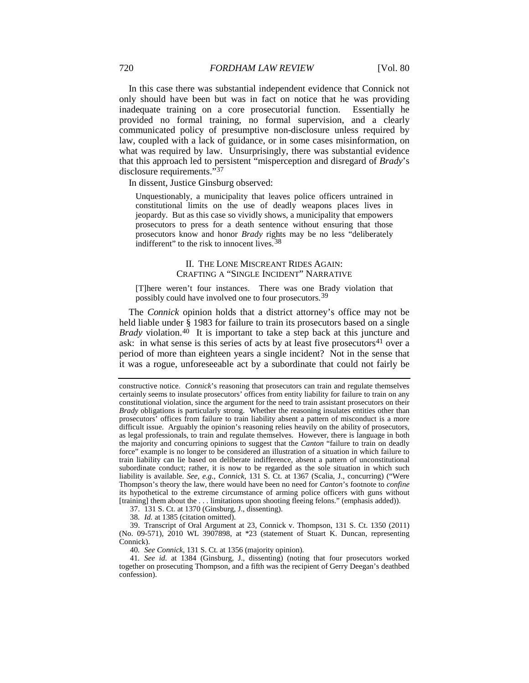In this case there was substantial independent evidence that Connick not only should have been but was in fact on notice that he was providing inadequate training on a core prosecutorial function. Essentially he provided no formal training, no formal supervision, and a clearly communicated policy of presumptive non-disclosure unless required by law, coupled with a lack of guidance, or in some cases misinformation, on what was required by law. Unsurprisingly, there was substantial evidence that this approach led to persistent "misperception and disregard of *Brady*'s disclosure requirements."[37](#page-6-0)

In dissent, Justice Ginsburg observed:

Unquestionably, a municipality that leaves police officers untrained in constitutional limits on the use of deadly weapons places lives in jeopardy. But as this case so vividly shows, a municipality that empowers prosecutors to press for a death sentence without ensuring that those prosecutors know and honor *Brady* rights may be no less "deliberately indifferent" to the risk to innocent lives.<sup>[38](#page-6-1)</sup>

#### <span id="page-6-5"></span>II. THE LONE MISCREANT RIDES AGAIN: CRAFTING A "SINGLE INCIDENT" NARRATIVE

[T]here weren't four instances. There was one Brady violation that possibly could have involved one to four prosecutors.[39](#page-6-2)

The *Connick* opinion holds that a district attorney's office may not be held liable under § 1983 for failure to train its prosecutors based on a single *Brady* violation.<sup>[40](#page-6-3)</sup> It is important to take a step back at this juncture and ask: in what sense is this series of acts by at least five prosecutors $41$  over a period of more than eighteen years a single incident? Not in the sense that it was a rogue, unforeseeable act by a subordinate that could not fairly be

37. 131 S. Ct. at 1370 (Ginsburg, J., dissenting).

38*. Id.* at 1385 (citation omitted).

<span id="page-6-2"></span><span id="page-6-1"></span><span id="page-6-0"></span>39. Transcript of Oral Argument at 23, Connick v. Thompson, 131 S. Ct. 1350 (2011) (No. 09-571), 2010 WL 3907898, at \*23 (statement of Stuart K. Duncan, representing Connick).

40*. See Connick*, 131 S. Ct. at 1356 (majority opinion).

<span id="page-6-4"></span><span id="page-6-3"></span>41*. See id.* at 1384 (Ginsburg, J., dissenting) (noting that four prosecutors worked together on prosecuting Thompson, and a fifth was the recipient of Gerry Deegan's deathbed confession).

constructive notice. *Connick*'s reasoning that prosecutors can train and regulate themselves certainly seems to insulate prosecutors' offices from entity liability for failure to train on any constitutional violation, since the argument for the need to train assistant prosecutors on their *Brady* obligations is particularly strong. Whether the reasoning insulates entities other than prosecutors' offices from failure to train liability absent a pattern of misconduct is a more difficult issue. Arguably the opinion's reasoning relies heavily on the ability of prosecutors, as legal professionals, to train and regulate themselves. However, there is language in both the majority and concurring opinions to suggest that the *Canton* "failure to train on deadly force" example is no longer to be considered an illustration of a situation in which failure to train liability can lie based on deliberate indifference, absent a pattern of unconstitutional subordinate conduct; rather, it is now to be regarded as the sole situation in which such liability is available. *See, e.g.*, *Connick*, 131 S. Ct. at 1367 (Scalia, J., concurring) ("Were Thompson's theory the law, there would have been no need for *Canton*'s footnote to *confine* its hypothetical to the extreme circumstance of arming police officers with guns without [training] them about the . . . limitations upon shooting fleeing felons." (emphasis added)).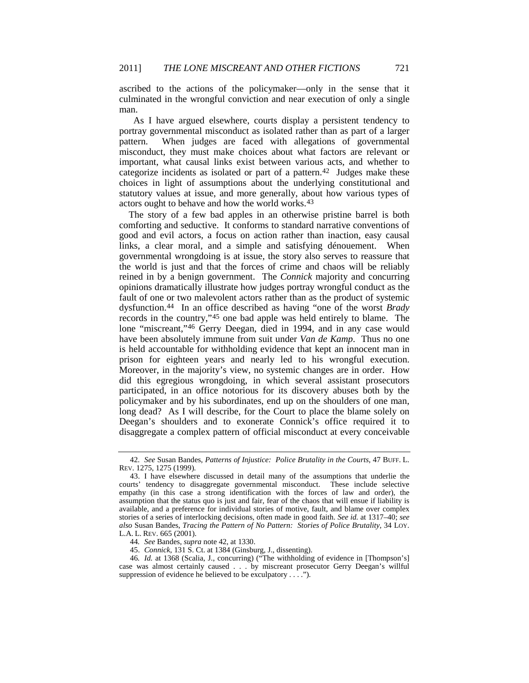ascribed to the actions of the policymaker—only in the sense that it culminated in the wrongful conviction and near execution of only a single man.

 As I have argued elsewhere, courts display a persistent tendency to portray governmental misconduct as isolated rather than as part of a larger pattern. When judges are faced with allegations of governmental misconduct, they must make choices about what factors are relevant or important, what causal links exist between various acts, and whether to categorize incidents as isolated or part of a pattern.<sup>[42](#page-7-1)</sup> Judges make these choices in light of assumptions about the underlying constitutional and statutory values at issue, and more generally, about how various types of actors ought to behave and how the world works.<sup>[43](#page-7-2)</sup>

<span id="page-7-0"></span>The story of a few bad apples in an otherwise pristine barrel is both comforting and seductive. It conforms to standard narrative conventions of good and evil actors, a focus on action rather than inaction, easy causal links, a clear moral, and a simple and satisfying dénouement. When governmental wrongdoing is at issue, the story also serves to reassure that the world is just and that the forces of crime and chaos will be reliably reined in by a benign government. The *Connick* majority and concurring opinions dramatically illustrate how judges portray wrongful conduct as the fault of one or two malevolent actors rather than as the product of systemic dysfunction.[44](#page-7-3) In an office described as having "one of the worst *Brady* records in the country,"[45](#page-7-4) one bad apple was held entirely to blame. The lone "miscreant,["46](#page-7-5) Gerry Deegan, died in 1994, and in any case would have been absolutely immune from suit under *Van de Kamp*. Thus no one is held accountable for withholding evidence that kept an innocent man in prison for eighteen years and nearly led to his wrongful execution. Moreover, in the majority's view, no systemic changes are in order. How did this egregious wrongdoing, in which several assistant prosecutors participated, in an office notorious for its discovery abuses both by the policymaker and by his subordinates, end up on the shoulders of one man, long dead? As I will describe, for the Court to place the blame solely on Deegan's shoulders and to exonerate Connick's office required it to disaggregate a complex pattern of official misconduct at every conceivable

<span id="page-7-1"></span><sup>42</sup>*. See* Susan Bandes, *Patterns of Injustice: Police Brutality in the Courts*, 47 BUFF. L. REV. 1275, 1275 (1999).

<span id="page-7-2"></span><sup>43.</sup> I have elsewhere discussed in detail many of the assumptions that underlie the courts' tendency to disaggregate governmental misconduct. These include selective empathy (in this case a strong identification with the forces of law and order), the assumption that the status quo is just and fair, fear of the chaos that will ensue if liability is available, and a preference for individual stories of motive, fault, and blame over complex stories of a series of interlocking decisions, often made in good faith. *See id.* at 1317–40; *see also* Susan Bandes, *Tracing the Pattern of No Pattern: Stories of Police Brutality*, 34 LOY. L.A. L. REV. 665 (2001).

<sup>44</sup>*. See* Bandes, *supra* not[e 42,](#page-7-0) at 1330.

<sup>45.</sup> *Connick*, 131 S. Ct. at 1384 (Ginsburg, J., dissenting).

<span id="page-7-5"></span><span id="page-7-4"></span><span id="page-7-3"></span><sup>46</sup>*. Id.* at 1368 (Scalia, J., concurring) ("The withholding of evidence in [Thompson's] case was almost certainly caused . . . by miscreant prosecutor Gerry Deegan's willful suppression of evidence he believed to be exculpatory . . . .").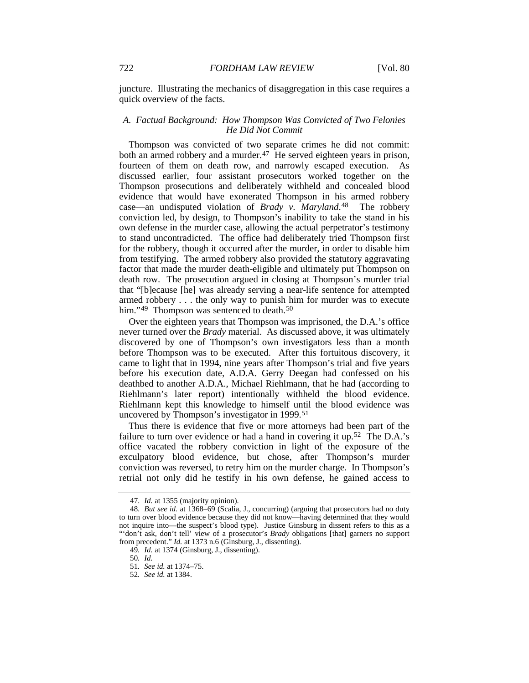juncture. Illustrating the mechanics of disaggregation in this case requires a quick overview of the facts.

# *A. Factual Background: How Thompson Was Convicted of Two Felonies He Did Not Commit*

Thompson was convicted of two separate crimes he did not commit: both an armed robbery and a murder.<sup>47</sup> He served eighteen years in prison, fourteen of them on death row, and narrowly escaped execution. As discussed earlier, four assistant prosecutors worked together on the Thompson prosecutions and deliberately withheld and concealed blood evidence that would have exonerated Thompson in his armed robbery case—an undisputed violation of *Brady v. Maryland*.[48](#page-8-1) The robbery conviction led, by design, to Thompson's inability to take the stand in his own defense in the murder case, allowing the actual perpetrator's testimony to stand uncontradicted. The office had deliberately tried Thompson first for the robbery, though it occurred after the murder, in order to disable him from testifying. The armed robbery also provided the statutory aggravating factor that made the murder death-eligible and ultimately put Thompson on death row. The prosecution argued in closing at Thompson's murder trial that "[b]ecause [he] was already serving a near-life sentence for attempted armed robbery . . . the only way to punish him for murder was to execute him."<sup>[49](#page-8-2)</sup> Thompson was sentenced to death.<sup>[50](#page-8-3)</sup>

Over the eighteen years that Thompson was imprisoned, the D.A.'s office never turned over the *Brady* material. As discussed above, it was ultimately discovered by one of Thompson's own investigators less than a month before Thompson was to be executed. After this fortuitous discovery, it came to light that in 1994, nine years after Thompson's trial and five years before his execution date, A.D.A. Gerry Deegan had confessed on his deathbed to another A.D.A., Michael Riehlmann, that he had (according to Riehlmann's later report) intentionally withheld the blood evidence. Riehlmann kept this knowledge to himself until the blood evidence was uncovered by Thompson's investigator in 1999.[51](#page-8-4)

Thus there is evidence that five or more attorneys had been part of the failure to turn over evidence or had a hand in covering it up.<sup>[52](#page-8-5)</sup> The D.A.'s office vacated the robbery conviction in light of the exposure of the exculpatory blood evidence, but chose, after Thompson's murder conviction was reversed, to retry him on the murder charge. In Thompson's retrial not only did he testify in his own defense, he gained access to

<sup>47</sup>*. Id.* at 1355 (majority opinion).

<span id="page-8-2"></span><span id="page-8-1"></span><span id="page-8-0"></span><sup>48</sup>*. But see id.* at 1368–69 (Scalia, J., concurring) (arguing that prosecutors had no duty to turn over blood evidence because they did not know—having determined that they would not inquire into—the suspect's blood type). Justice Ginsburg in dissent refers to this as a "'don't ask, don't tell' view of a prosecutor's *Brady* obligations [that] garners no support from precedent." *Id.* at 1373 n.6 (Ginsburg, J., dissenting).

<span id="page-8-4"></span><span id="page-8-3"></span><sup>49</sup>*. Id.* at 1374 (Ginsburg, J., dissenting).

<sup>50</sup>*. Id.*

<sup>51</sup>*. See id.* at 1374–75.

<span id="page-8-5"></span><sup>52</sup>*. See id.* at 1384.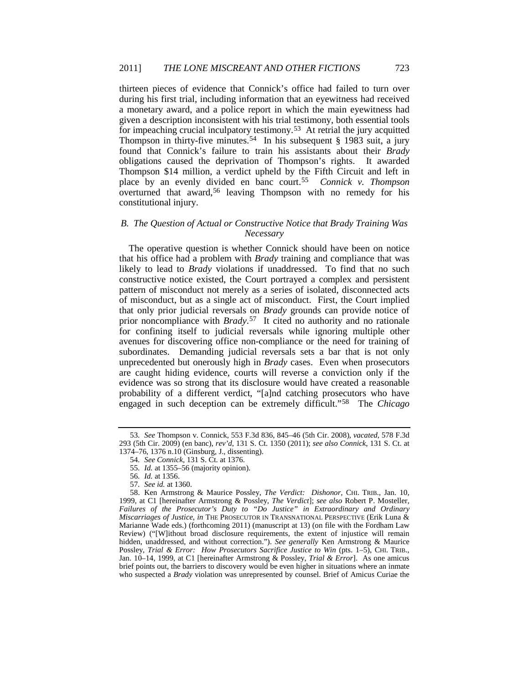thirteen pieces of evidence that Connick's office had failed to turn over during his first trial, including information that an eyewitness had received a monetary award, and a police report in which the main eyewitness had given a description inconsistent with his trial testimony, both essential tools for impeaching crucial inculpatory testimony.[53](#page-9-0) At retrial the jury acquitted Thompson in thirty-five minutes.[54](#page-9-1) In his subsequent § 1983 suit, a jury found that Connick's failure to train his assistants about their *Brady* obligations caused the deprivation of Thompson's rights. It awarded Thompson \$14 million, a verdict upheld by the Fifth Circuit and left in place by an evenly divided en banc court.[55](#page-9-2) *Connick v. Thompson* overturned that award,<sup>[56](#page-9-3)</sup> leaving Thompson with no remedy for his constitutional injury.

# *B. The Question of Actual or Constructive Notice that Brady Training Was Necessary*

The operative question is whether Connick should have been on notice that his office had a problem with *Brady* training and compliance that was likely to lead to *Brady* violations if unaddressed. To find that no such constructive notice existed, the Court portrayed a complex and persistent pattern of misconduct not merely as a series of isolated, disconnected acts of misconduct, but as a single act of misconduct. First, the Court implied that only prior judicial reversals on *Brady* grounds can provide notice of prior noncompliance with *Brady*.[57](#page-9-4) It cited no authority and no rationale for confining itself to judicial reversals while ignoring multiple other avenues for discovering office non-compliance or the need for training of subordinates. Demanding judicial reversals sets a bar that is not only unprecedented but onerously high in *Brady* cases. Even when prosecutors are caught hiding evidence, courts will reverse a conviction only if the evidence was so strong that its disclosure would have created a reasonable probability of a different verdict, "[a]nd catching prosecutors who have engaged in such deception can be extremely difficult."[58](#page-9-5) The *Chicago* 

<span id="page-9-1"></span><span id="page-9-0"></span><sup>53</sup>*. See* Thompson v. Connick, 553 F.3d 836, 845–46 (5th Cir. 2008), *vacated*, 578 F.3d 293 (5th Cir. 2009) (en banc), *rev'd*, 131 S. Ct. 1350 (2011); *see also Connick*, 131 S. Ct. at 1374–76, 1376 n.10 (Ginsburg, J., dissenting).

<span id="page-9-6"></span><sup>54</sup>*. See Connick*, 131 S. Ct. at 1376.

<sup>55</sup>*. Id.* at 1355–56 (majority opinion).

<sup>56</sup>*. Id.* at 1356.

<sup>57</sup>*. See id.* at 1360.

<span id="page-9-5"></span><span id="page-9-4"></span><span id="page-9-3"></span><span id="page-9-2"></span><sup>58.</sup> Ken Armstrong & Maurice Possley, *The Verdict: Dishonor*, CHI. TRIB., Jan. 10, 1999, at C1 [hereinafter Armstrong & Possley, *The Verdict*]; *see also* Robert P. Mosteller, *Failures of the Prosecutor's Duty to "Do Justice" in Extraordinary and Ordinary Miscarriages of Justice*, *in* THE PROSECUTOR IN TRANSNATIONAL PERSPECTIVE (Erik Luna & Marianne Wade eds.) (forthcoming 2011) (manuscript at 13) (on file with the Fordham Law Review) ("[W]ithout broad disclosure requirements, the extent of injustice will remain hidden, unaddressed, and without correction."). *See generally* Ken Armstrong & Maurice Possley, *Trial & Error: How Prosecutors Sacrifice Justice to Win* (pts. 1–5), CHI. TRIB., Jan. 10–14, 1999, at C1 [hereinafter Armstrong & Possley, *Trial & Error*]. As one amicus brief points out, the barriers to discovery would be even higher in situations where an inmate who suspected a *Brady* violation was unrepresented by counsel. Brief of Amicus Curiae the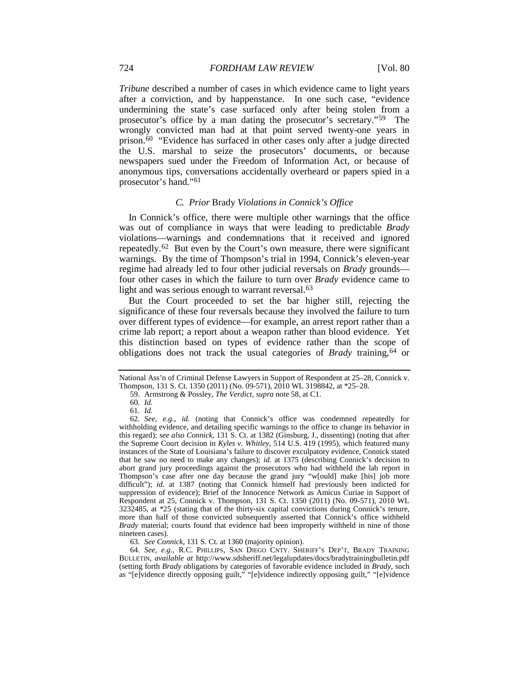*Tribune* described a number of cases in which evidence came to light years after a conviction, and by happenstance. In one such case, "evidence undermining the state's case surfaced only after being stolen from a prosecutor's office by a man dating the prosecutor's secretary."[59](#page-10-0) The wrongly convicted man had at that point served twenty-one years in prison.<sup>60</sup> "Evidence has surfaced in other cases only after a judge directed the U.S. marshal to seize the prosecutors' documents, or because newspapers sued under the Freedom of Information Act, or because of anonymous tips, conversations accidentally overheard or papers spied in a prosecutor's hand."[61](#page-10-2)

#### *C. Prior* Brady *Violations in Connick's Office*

In Connick's office, there were multiple other warnings that the office was out of compliance in ways that were leading to predictable *Brady* violations—warnings and condemnations that it received and ignored repeatedly.[62](#page-10-3) But even by the Court's own measure, there were significant warnings. By the time of Thompson's trial in 1994, Connick's eleven-year regime had already led to four other judicial reversals on *Brady* grounds four other cases in which the failure to turn over *Brady* evidence came to light and was serious enough to warrant reversal.<sup>[63](#page-10-4)</sup>

But the Court proceeded to set the bar higher still, rejecting the significance of these four reversals because they involved the failure to turn over different types of evidence—for example, an arrest report rather than a crime lab report; a report about a weapon rather than blood evidence. Yet this distinction based on types of evidence rather than the scope of obligations does not track the usual categories of *Brady* training, <sup>[64](#page-10-5)</sup> or

63*. See Connick*, 131 S. Ct. at 1360 (majority opinion).

<span id="page-10-5"></span><span id="page-10-4"></span>64*. See, e.g.*, R.C. PHILLIPS, SAN DIEGO CNTY. SHERIFF'S DEP'T, BRADY TRAINING BULLETIN, *available at* http://www.sdsheriff.net/legalupdates/docs/bradytrainingbulletin.pdf (setting forth *Brady* obligations by categories of favorable evidence included in *Brady*, such as "[e]vidence directly opposing guilt," "[e]vidence indirectly opposing guilt," "[e]vidence

<span id="page-10-0"></span>National Ass'n of Criminal Defense Lawyers in Support of Respondent at 25–28, Connick v. Thompson, 131 S. Ct. 1350 (2011) (No. 09-571), 2010 WL 3198842, at \*25–28.

<sup>59.</sup> Armstrong & Possley, *The Verdict*, *supra* not[e 58,](#page-9-6) at C1.

<sup>60</sup>*. Id.*

<sup>61</sup>*. Id.*

<span id="page-10-3"></span><span id="page-10-2"></span><span id="page-10-1"></span><sup>62</sup>*. See, e.g.*, *id.* (noting that Connick's office was condemned repeatedly for withholding evidence, and detailing specific warnings to the office to change its behavior in this regard); *see also Connick*, 131 S. Ct. at 1382 (Ginsburg, J., dissenting) (noting that after the Supreme Court decision in *Kyles v. Whitley*, 514 U.S. 419 (1995), which featured many instances of the State of Louisiana's failure to discover exculpatory evidence, Connick stated that he saw no need to make any changes); *id.* at 1375 (describing Connick's decision to abort grand jury proceedings against the prosecutors who had withheld the lab report in Thompson's case after one day because the grand jury "w[ould] make [his] job more difficult"); *id.* at 1387 (noting that Connick himself had previously been indicted for suppression of evidence); Brief of the Innocence Network as Amicus Curiae in Support of Respondent at 25, Connick v. Thompson, 131 S. Ct. 1350 (2011) (No. 09-571), 2010 WL 3232485, at \*25 (stating that of the thirty-six capital convictions during Connick's tenure, more than half of those convicted subsequently asserted that Connick's office withheld *Brady* material; courts found that evidence had been improperly withheld in nine of those nineteen cases).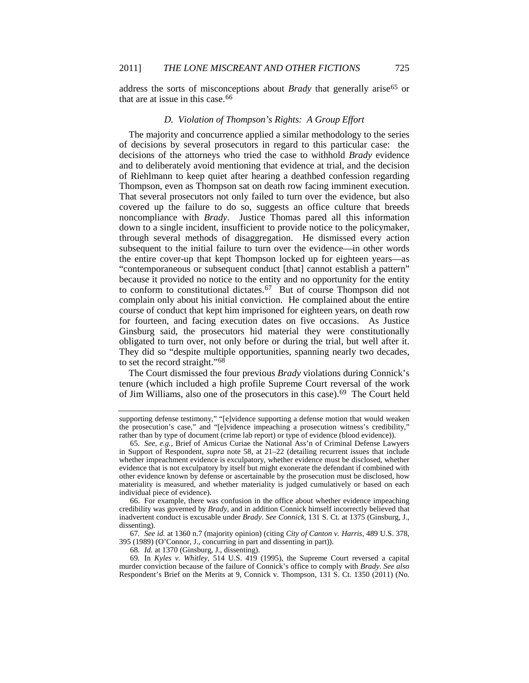address the sorts of misconceptions about *Brady* that generally arise<sup>65</sup> or that are at issue in this case.<sup>[66](#page-11-1)</sup>

#### *D. Violation of Thompson's Rights: A Group Effort*

The majority and concurrence applied a similar methodology to the series of decisions by several prosecutors in regard to this particular case: the decisions of the attorneys who tried the case to withhold *Brady* evidence and to deliberately avoid mentioning that evidence at trial, and the decision of Riehlmann to keep quiet after hearing a deathbed confession regarding Thompson, even as Thompson sat on death row facing imminent execution. That several prosecutors not only failed to turn over the evidence, but also covered up the failure to do so, suggests an office culture that breeds noncompliance with *Brady*. Justice Thomas pared all this information down to a single incident, insufficient to provide notice to the policymaker, through several methods of disaggregation. He dismissed every action subsequent to the initial failure to turn over the evidence—in other words the entire cover-up that kept Thompson locked up for eighteen years—as "contemporaneous or subsequent conduct [that] cannot establish a pattern" because it provided no notice to the entity and no opportunity for the entity to conform to constitutional dictates.[67](#page-11-2) But of course Thompson did not complain only about his initial conviction. He complained about the entire course of conduct that kept him imprisoned for eighteen years, on death row for fourteen, and facing execution dates on five occasions. As Justice Ginsburg said, the prosecutors hid material they were constitutionally obligated to turn over, not only before or during the trial, but well after it. They did so "despite multiple opportunities, spanning nearly two decades, to set the record straight.["68](#page-11-3)

The Court dismissed the four previous *Brady* violations during Connick's tenure (which included a high profile Supreme Court reversal of the work of Jim Williams, also one of the prosecutors in this case).<sup>[69](#page-11-4)</sup> The Court held

<span id="page-11-2"></span>67*. See id.* at 1360 n.7 (majority opinion) (citing *City of Canton v. Harris*, 489 U.S. 378, 395 (1989) (O'Connor, J., concurring in part and dissenting in part)).

<span id="page-11-4"></span><span id="page-11-3"></span>69*.* In *Kyles v. Whitley*, 514 U.S. 419 (1995), the Supreme Court reversed a capital murder conviction because of the failure of Connick's office to comply with *Brady*. *See also* Respondent's Brief on the Merits at 9, Connick v. Thompson, 131 S. Ct. 1350 (2011) (No.

supporting defense testimony," "[e]vidence supporting a defense motion that would weaken the prosecution's case," and "[e]vidence impeaching a prosecution witness's credibility," rather than by type of document (crime lab report) or type of evidence (blood evidence)).

<span id="page-11-0"></span><sup>65</sup>*. See, e.g.*, Brief of Amicus Curiae the National Ass'n of Criminal Defense Lawyers in Support of Respondent, *supra* note [58,](#page-9-6) at 21–22 (detailing recurrent issues that include whether impeachment evidence is exculpatory, whether evidence must be disclosed, whether evidence that is not exculpatory by itself but might exonerate the defendant if combined with other evidence known by defense or ascertainable by the prosecution must be disclosed, how materiality is measured, and whether materiality is judged cumulatively or based on each individual piece of evidence).

<span id="page-11-1"></span><sup>66.</sup> For example, there was confusion in the office about whether evidence impeaching credibility was governed by *Brady*, and in addition Connick himself incorrectly believed that inadvertent conduct is excusable under *Brady*. *See Connick*, 131 S. Ct. at 1375 (Ginsburg, J., dissenting).

<sup>68</sup>*. Id.* at 1370 (Ginsburg, J., dissenting).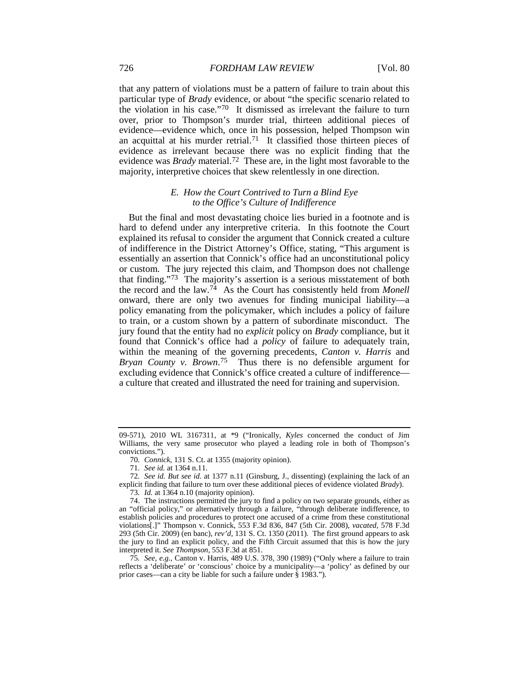that any pattern of violations must be a pattern of failure to train about this particular type of *Brady* evidence, or about "the specific scenario related to the violation in his case."[70](#page-12-0) It dismissed as irrelevant the failure to turn over, prior to Thompson's murder trial, thirteen additional pieces of evidence—evidence which, once in his possession, helped Thompson win an acquittal at his murder retrial.<sup>71</sup> It classified those thirteen pieces of evidence as irrelevant because there was no explicit finding that the evidence was *Brady* material.[72](#page-12-2) These are, in the light most favorable to the majority, interpretive choices that skew relentlessly in one direction.

# *E. How the Court Contrived to Turn a Blind Eye to the Office's Culture of Indifference*

But the final and most devastating choice lies buried in a footnote and is hard to defend under any interpretive criteria. In this footnote the Court explained its refusal to consider the argument that Connick created a culture of indifference in the District Attorney's Office, stating, "This argument is essentially an assertion that Connick's office had an unconstitutional policy or custom. The jury rejected this claim, and Thompson does not challenge that finding."[73](#page-12-3) The majority's assertion is a serious misstatement of both the record and the law.[74](#page-12-4) As the Court has consistently held from *Monell* onward, there are only two avenues for finding municipal liability—a policy emanating from the policymaker, which includes a policy of failure to train, or a custom shown by a pattern of subordinate misconduct. The jury found that the entity had no *explicit* policy on *Brady* compliance, but it found that Connick's office had a *policy* of failure to adequately train, within the meaning of the governing precedents, *Canton v. Harris* and *Bryan County v. Brown*.[75](#page-12-5) Thus there is no defensible argument for excluding evidence that Connick's office created a culture of indifference a culture that created and illustrated the need for training and supervision.

<span id="page-12-5"></span>75*. See, e.g.*, Canton v. Harris, 489 U.S. 378, 390 (1989) ("Only where a failure to train reflects a 'deliberate' or 'conscious' choice by a municipality—a 'policy' as defined by our prior cases—can a city be liable for such a failure under § 1983.").

<sup>09-571), 2010</sup> WL 3167311, at \*9 ("Ironically, *Kyles* concerned the conduct of Jim Williams, the very same prosecutor who played a leading role in both of Thompson's convictions.").

<sup>70</sup>*. Connick*, 131 S. Ct. at 1355 (majority opinion).

<sup>71</sup>*. See id.* at 1364 n.11.

<span id="page-12-2"></span><span id="page-12-1"></span><span id="page-12-0"></span><sup>72</sup>*. See id. But see id.* at 1377 n.11 (Ginsburg, J., dissenting) (explaining the lack of an explicit finding that failure to turn over these additional pieces of evidence violated *Brady*).

<sup>73</sup>*. Id.* at 1364 n.10 (majority opinion).

<span id="page-12-4"></span><span id="page-12-3"></span><sup>74.</sup> The instructions permitted the jury to find a policy on two separate grounds, either as an "official policy," or alternatively through a failure, "through deliberate indifference, to establish policies and procedures to protect one accused of a crime from these constitutional violations[.]" Thompson v. Connick, 553 F.3d 836, 847 (5th Cir. 2008), *vacated,* 578 F.3d 293 (5th Cir. 2009) (en banc), *rev'd,* 131 S. Ct. 1350 (2011). The first ground appears to ask the jury to find an explicit policy, and the Fifth Circuit assumed that this is how the jury interpreted it. *See Thompson*, 553 F.3d at 851.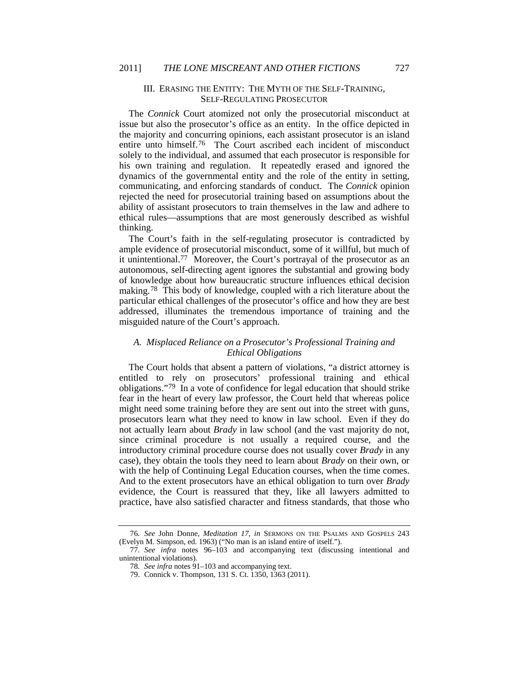#### III. ERASING THE ENTITY: THE MYTH OF THE SELF-TRAINING, SELF-REGULATING PROSECUTOR

The *Connick* Court atomized not only the prosecutorial misconduct at issue but also the prosecutor's office as an entity. In the office depicted in the majority and concurring opinions, each assistant prosecutor is an island entire unto himself[.76](#page-13-0) The Court ascribed each incident of misconduct solely to the individual, and assumed that each prosecutor is responsible for his own training and regulation. It repeatedly erased and ignored the dynamics of the governmental entity and the role of the entity in setting, communicating, and enforcing standards of conduct. The *Connick* opinion rejected the need for prosecutorial training based on assumptions about the ability of assistant prosecutors to train themselves in the law and adhere to ethical rules—assumptions that are most generously described as wishful thinking.

The Court's faith in the self-regulating prosecutor is contradicted by ample evidence of prosecutorial misconduct, some of it willful, but much of it unintentional. [77](#page-13-1) Moreover, the Court's portrayal of the prosecutor as an autonomous, self-directing agent ignores the substantial and growing body of knowledge about how bureaucratic structure influences ethical decision making.[78](#page-13-2) This body of knowledge, coupled with a rich literature about the particular ethical challenges of the prosecutor's office and how they are best addressed, illuminates the tremendous importance of training and the misguided nature of the Court's approach.

# *A. Misplaced Reliance on a Prosecutor's Professional Training and Ethical Obligations*

The Court holds that absent a pattern of violations, "a district attorney is entitled to rely on prosecutors' professional training and ethical obligations."[79](#page-13-3) In a vote of confidence for legal education that should strike fear in the heart of every law professor, the Court held that whereas police might need some training before they are sent out into the street with guns, prosecutors learn what they need to know in law school. Even if they do not actually learn about *Brady* in law school (and the vast majority do not, since criminal procedure is not usually a required course, and the introductory criminal procedure course does not usually cover *Brady* in any case), they obtain the tools they need to learn about *Brady* on their own, or with the help of Continuing Legal Education courses, when the time comes. And to the extent prosecutors have an ethical obligation to turn over *Brady* evidence, the Court is reassured that they, like all lawyers admitted to practice, have also satisfied character and fitness standards, that those who

<span id="page-13-0"></span><sup>76</sup>*. See* John Donne, *Meditation 17*, *in* SERMONS ON THE PSALMS AND GOSPELS 243 (Evelyn M. Simpson, ed. 1963) ("No man is an island entire of itself.").

<span id="page-13-3"></span><span id="page-13-2"></span><span id="page-13-1"></span><sup>77</sup>*. See infra* notes [96](#page-16-0)[–103](#page-18-0) and accompanying text (discussing intentional and unintentional violations).

<sup>78</sup>*. See infra* note[s 91](#page-15-0)[–103](#page-18-0) and accompanying text.

<sup>79.</sup> Connick v. Thompson, 131 S. Ct. 1350, 1363 (2011).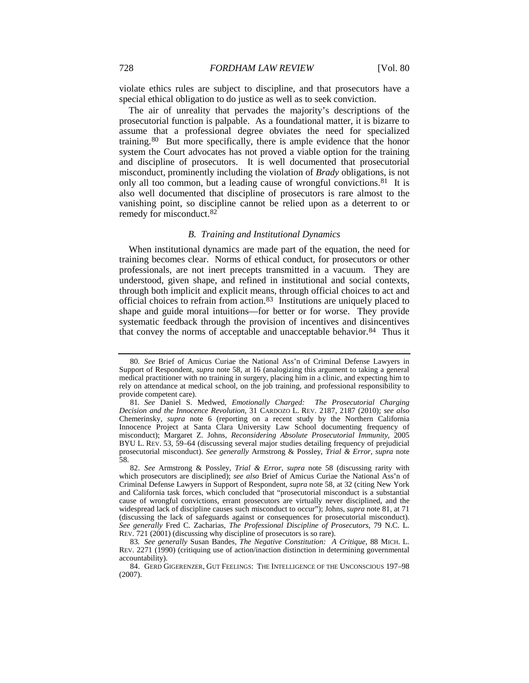violate ethics rules are subject to discipline, and that prosecutors have a special ethical obligation to do justice as well as to seek conviction.

The air of unreality that pervades the majority's descriptions of the prosecutorial function is palpable. As a foundational matter, it is bizarre to assume that a professional degree obviates the need for specialized training.[80](#page-14-1) But more specifically, there is ample evidence that the honor system the Court advocates has not proved a viable option for the training and discipline of prosecutors. It is well documented that prosecutorial misconduct, prominently including the violation of *Brady* obligations, is not only all too common, but a leading cause of wrongful convictions.<sup>81</sup> It is also well documented that discipline of prosecutors is rare almost to the vanishing point, so discipline cannot be relied upon as a deterrent to or remedy for misconduct.[82](#page-14-3)

#### <span id="page-14-6"></span><span id="page-14-0"></span>*B. Training and Institutional Dynamics*

When institutional dynamics are made part of the equation, the need for training becomes clear. Norms of ethical conduct, for prosecutors or other professionals, are not inert precepts transmitted in a vacuum. They are understood, given shape, and refined in institutional and social contexts, through both implicit and explicit means, through official choices to act and official choices to refrain from action.[83](#page-14-4) Institutions are uniquely placed to shape and guide moral intuitions—for better or for worse. They provide systematic feedback through the provision of incentives and disincentives that convey the norms of acceptable and unacceptable behavior.<sup>[84](#page-14-5)</sup> Thus it

<span id="page-14-1"></span><sup>80</sup>*. See* Brief of Amicus Curiae the National Ass'n of Criminal Defense Lawyers in Support of Respondent, *supra* note [58,](#page-9-6) at 16 (analogizing this argument to taking a general medical practitioner with no training in surgery, placing him in a clinic, and expecting him to rely on attendance at medical school, on the job training, and professional responsibility to provide competent care).

<span id="page-14-2"></span><sup>81</sup>*. See* Daniel S. Medwed, *Emotionally Charged: The Prosecutorial Charging Decision and the Innocence Revolution*, 31 CARDOZO L. REV. 2187, 2187 (2010); *see also* Chemerinsky, *supra* note [6](#page-1-8) (reporting on a recent study by the Northern California Innocence Project at Santa Clara University Law School documenting frequency of misconduct); Margaret Z. Johns, *Reconsidering Absolute Prosecutorial Immunity*, 2005 BYU L. REV. 53, 59–64 (discussing several major studies detailing frequency of prejudicial prosecutorial misconduct). *See generally* Armstrong & Possley, *Trial & Error*, *supra* note [58.](#page-9-6)

<span id="page-14-3"></span><sup>82.</sup> *See* Armstrong & Possley, *Trial & Error, supra* note [58](#page-9-6) (discussing rarity with which prosecutors are disciplined); *see also* Brief of Amicus Curiae the National Ass'n of Criminal Defense Lawyers in Support of Respondent, *supra* note [58,](#page-9-6) at 32 (citing New York and California task forces, which concluded that "prosecutorial misconduct is a substantial cause of wrongful convictions, errant prosecutors are virtually never disciplined, and the widespread lack of discipline causes such misconduct to occur"); Johns, *supra* not[e 81,](#page-14-0) at 71 (discussing the lack of safeguards against or consequences for prosecutorial misconduct). *See generally* Fred C. Zacharias, *The Professional Discipline of Prosecutors*, 79 N.C. L. REV. 721 (2001) (discussing why discipline of prosecutors is so rare).

<span id="page-14-4"></span><sup>83</sup>*. See generally* Susan Bandes, *The Negative Constitution: A Critique*, 88 MICH. L. REV. 2271 (1990) (critiquing use of action/inaction distinction in determining governmental accountability).

<span id="page-14-5"></span><sup>84.</sup> GERD GIGERENZER, GUT FEELINGS: THE INTELLIGENCE OF THE UNCONSCIOUS 197–98 (2007).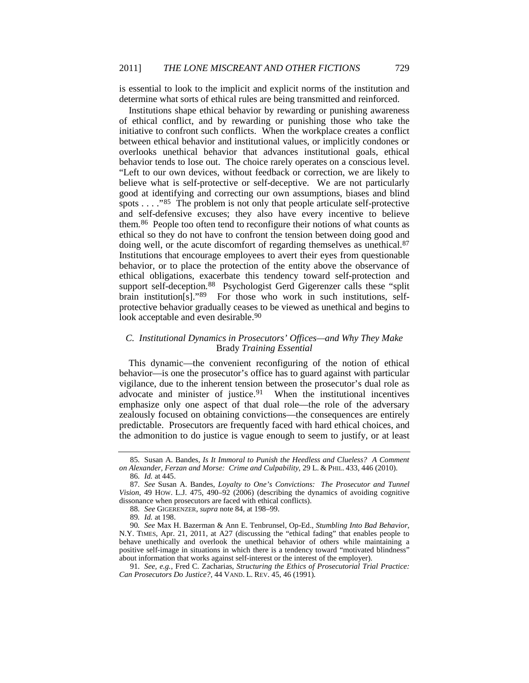is essential to look to the implicit and explicit norms of the institution and determine what sorts of ethical rules are being transmitted and reinforced.

Institutions shape ethical behavior by rewarding or punishing awareness of ethical conflict, and by rewarding or punishing those who take the initiative to confront such conflicts. When the workplace creates a conflict between ethical behavior and institutional values, or implicitly condones or overlooks unethical behavior that advances institutional goals, ethical behavior tends to lose out. The choice rarely operates on a conscious level. "Left to our own devices, without feedback or correction, we are likely to believe what is self-protective or self-deceptive. We are not particularly good at identifying and correcting our own assumptions, biases and blind spots . . . . "[85](#page-15-1) The problem is not only that people articulate self-protective and self-defensive excuses; they also have every incentive to believe them.[86](#page-15-2) People too often tend to reconfigure their notions of what counts as ethical so they do not have to confront the tension between doing good and doing well, or the acute discomfort of regarding themselves as unethical.<sup>[87](#page-15-3)</sup> Institutions that encourage employees to avert their eyes from questionable behavior, or to place the protection of the entity above the observance of ethical obligations, exacerbate this tendency toward self-protection and support self-deception.<sup>[88](#page-15-4)</sup> Psychologist Gerd Gigerenzer calls these "split brain institution[s]."<sup>[89](#page-15-5)</sup> For those who work in such institutions, selfprotective behavior gradually ceases to be viewed as unethical and begins to look acceptable and even desirable.<sup>[90](#page-15-6)</sup>

#### <span id="page-15-8"></span>*C. Institutional Dynamics in Prosecutors' Offices—and Why They Make*  Brady *Training Essential*

<span id="page-15-0"></span>This dynamic—the convenient reconfiguring of the notion of ethical behavior—is one the prosecutor's office has to guard against with particular vigilance, due to the inherent tension between the prosecutor's dual role as advocate and minister of justice.<sup>91</sup> When the institutional incentives emphasize only one aspect of that dual role—the role of the adversary zealously focused on obtaining convictions—the consequences are entirely predictable. Prosecutors are frequently faced with hard ethical choices, and the admonition to do justice is vague enough to seem to justify, or at least

<span id="page-15-1"></span><sup>85</sup>*.* Susan A. Bandes, *Is It Immoral to Punish the Heedless and Clueless? A Comment on Alexander, Ferzan and Morse: Crime and Culpability*, 29 L. & PHIL. 433, 446 (2010). 86*. Id.* at 445.

<span id="page-15-3"></span><span id="page-15-2"></span><sup>87</sup>*. See* Susan A. Bandes, *Loyalty to One's Convictions: The Prosecutor and Tunnel Vision*, 49 HOW. L.J. 475, 490–92 (2006) (describing the dynamics of avoiding cognitive dissonance when prosecutors are faced with ethical conflicts).

<sup>88</sup>*. See* GIGERENZER, *supra* not[e 84,](#page-14-6) at 198–99.

<sup>89</sup>*. Id.* at 198.

<span id="page-15-6"></span><span id="page-15-5"></span><span id="page-15-4"></span><sup>90</sup>*. See* Max H. Bazerman & Ann E. Tenbrunsel, Op-Ed., *Stumbling Into Bad Behavior*, N.Y. TIMES, Apr. 21, 2011, at A27 (discussing the "ethical fading" that enables people to behave unethically and overlook the unethical behavior of others while maintaining a positive self-image in situations in which there is a tendency toward "motivated blindness" about information that works against self-interest or the interest of the employer).

<span id="page-15-7"></span><sup>91</sup>*. See, e.g.*, Fred C. Zacharias, *Structuring the Ethics of Prosecutorial Trial Practice: Can Prosecutors Do Justice?*, 44 VAND. L. REV. 45, 46 (1991).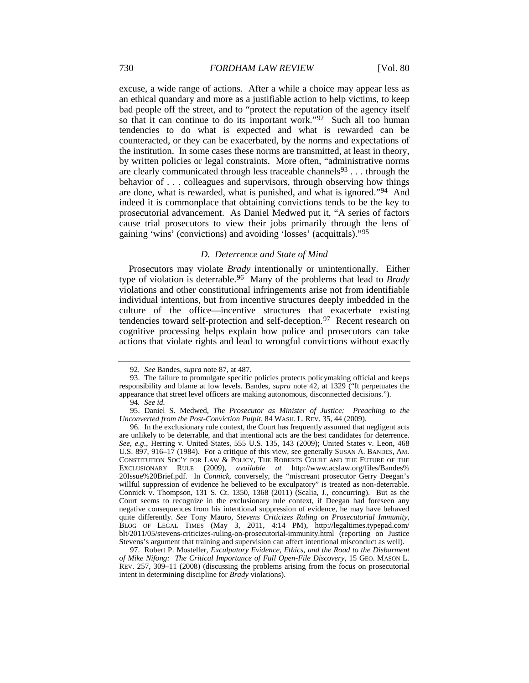excuse, a wide range of actions. After a while a choice may appear less as an ethical quandary and more as a justifiable action to help victims, to keep bad people off the street, and to "protect the reputation of the agency itself so that it can continue to do its important work."<sup>[92](#page-16-1)</sup> Such all too human tendencies to do what is expected and what is rewarded can be counteracted, or they can be exacerbated, by the norms and expectations of the institution. In some cases these norms are transmitted, at least in theory, by written policies or legal constraints. More often, "administrative norms are clearly communicated through less traceable channels<sup>93</sup> . . . through the behavior of . . . colleagues and supervisors, through observing how things are done, what is rewarded, what is punished, and what is ignored."[94](#page-16-3) And indeed it is commonplace that obtaining convictions tends to be the key to prosecutorial advancement. As Daniel Medwed put it, "A series of factors cause trial prosecutors to view their jobs primarily through the lens of gaining 'wins' (convictions) and avoiding 'losses' (acquittals)."[95](#page-16-4)

#### <span id="page-16-7"></span><span id="page-16-0"></span>*D. Deterrence and State of Mind*

Prosecutors may violate *Brady* intentionally or unintentionally. Either type of violation is deterrable.[96](#page-16-5) Many of the problems that lead to *Brady* violations and other constitutional infringements arise not from identifiable individual intentions, but from incentive structures deeply imbedded in the culture of the office—incentive structures that exacerbate existing tendencies toward self-protection and self-deception.<sup>[97](#page-16-6)</sup> Recent research on cognitive processing helps explain how police and prosecutors can take actions that violate rights and lead to wrongful convictions without exactly

<sup>92</sup>*. See* Bandes, *supra* note [87,](#page-15-8) at 487.

<span id="page-16-2"></span><span id="page-16-1"></span><sup>93.</sup> The failure to promulgate specific policies protects policymaking official and keeps responsibility and blame at low levels. Bandes, *supra* note [42,](#page-7-0) at 1329 ("It perpetuates the appearance that street level officers are making autonomous, disconnected decisions.").

<sup>94</sup>*. See id.*

<span id="page-16-3"></span><sup>95.</sup> Daniel S. Medwed, *The Prosecutor as Minister of Justice: Preaching to the Unconverted from the Post-Conviction Pulpit*, 84 WASH. L. REV. 35, 44 (2009).

<span id="page-16-5"></span><span id="page-16-4"></span><sup>96.</sup> In the exclusionary rule context, the Court has frequently assumed that negligent acts are unlikely to be deterrable, and that intentional acts are the best candidates for deterrence. *See, e.g.*, Herring v. United States, 555 U.S. 135, 143 (2009); United States v. Leon, 468 U.S. 897, 916–17 (1984). For a critique of this view, see generally SUSAN A. BANDES, AM. CONSTITUTION SOC'Y FOR LAW & POLICY, THE ROBERTS COURT AND THE FUTURE OF THE EXCLUSIONARY RULE (2009), *available at* http://www.acslaw.org/files/Bandes% 20Issue%20Brief.pdf. In *Connick*, conversely, the "miscreant prosecutor Gerry Deegan's willful suppression of evidence he believed to be exculpatory" is treated as non-deterrable. Connick v. Thompson, 131 S. Ct. 1350, 1368 (2011) (Scalia, J., concurring). But as the Court seems to recognize in the exclusionary rule context, if Deegan had foreseen any negative consequences from his intentional suppression of evidence, he may have behaved quite differently. *See* Tony Mauro, *Stevens Criticizes Ruling on Prosecutorial Immunity*, BLOG OF LEGAL TIMES (May 3, 2011, 4:14 PM), http://legaltimes.typepad.com/ blt/2011/05/stevens-criticizes-ruling-on-prosecutorial-immunity.html (reporting on Justice Stevens's argument that training and supervision can affect intentional misconduct as well).

<span id="page-16-6"></span><sup>97.</sup> Robert P. Mosteller, *Exculpatory Evidence, Ethics, and the Road to the Disbarment of Mike Nifong: The Critical Importance of Full Open-File Discovery*, 15 GEO. MASON L. REV. 257, 309–11 (2008) (discussing the problems arising from the focus on prosecutorial intent in determining discipline for *Brady* violations).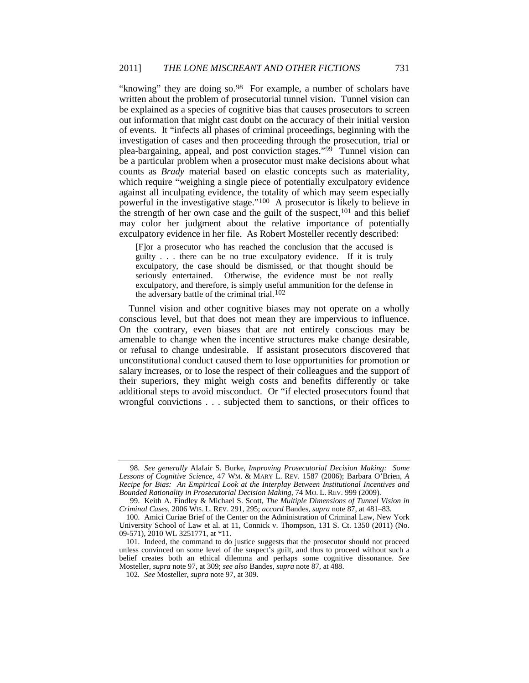"knowing" they are doing so.<sup>[98](#page-17-0)</sup> For example, a number of scholars have written about the problem of prosecutorial tunnel vision. Tunnel vision can be explained as a species of cognitive bias that causes prosecutors to screen out information that might cast doubt on the accuracy of their initial version of events. It "infects all phases of criminal proceedings, beginning with the investigation of cases and then proceeding through the prosecution, trial or plea-bargaining, appeal, and post conviction stages."[99](#page-17-1) Tunnel vision can be a particular problem when a prosecutor must make decisions about what counts as *Brady* material based on elastic concepts such as materiality, which require "weighing a single piece of potentially exculpatory evidence against all inculpating evidence, the totality of which may seem especially powerful in the investigative stage."[100](#page-17-2) A prosecutor is likely to believe in the strength of her own case and the guilt of the suspect,<sup>[101](#page-17-3)</sup> and this belief may color her judgment about the relative importance of potentially exculpatory evidence in her file. As Robert Mosteller recently described:

[F]or a prosecutor who has reached the conclusion that the accused is guilty . . . there can be no true exculpatory evidence. If it is truly exculpatory, the case should be dismissed, or that thought should be seriously entertained. Otherwise, the evidence must be not really exculpatory, and therefore, is simply useful ammunition for the defense in the adversary battle of the criminal trial. [102](#page-17-4)

Tunnel vision and other cognitive biases may not operate on a wholly conscious level, but that does not mean they are impervious to influence. On the contrary, even biases that are not entirely conscious may be amenable to change when the incentive structures make change desirable, or refusal to change undesirable. If assistant prosecutors discovered that unconstitutional conduct caused them to lose opportunities for promotion or salary increases, or to lose the respect of their colleagues and the support of their superiors, they might weigh costs and benefits differently or take additional steps to avoid misconduct. Or "if elected prosecutors found that wrongful convictions . . . subjected them to sanctions, or their offices to

<span id="page-17-0"></span><sup>98</sup>*. See generally* Alafair S. Burke, *Improving Prosecutorial Decision Making: Some Lessons of Cognitive Science*, 47 WM. & MARY L. REV. 1587 (2006); Barbara O'Brien, *A Recipe for Bias: An Empirical Look at the Interplay Between Institutional Incentives and Bounded Rationality in Prosecutorial Decision Making*, 74 MO. L. REV. 999 (2009).

<span id="page-17-1"></span><sup>99.</sup> Keith A. Findley & Michael S. Scott, *The Multiple Dimensions of Tunnel Vision in Criminal Cases*, 2006 WIS. L. REV. 291, 295; *accord* Bandes, *supra* note [87,](#page-15-8) at 481–83.

<span id="page-17-2"></span><sup>100.</sup> Amici Curiae Brief of the Center on the Administration of Criminal Law, New York University School of Law et al. at 11, Connick v. Thompson, 131 S. Ct. 1350 (2011) (No. 09-571), 2010 WL 3251771, at \*11.

<span id="page-17-4"></span><span id="page-17-3"></span><sup>101.</sup> Indeed, the command to do justice suggests that the prosecutor should not proceed unless convinced on some level of the suspect's guilt, and thus to proceed without such a belief creates both an ethical dilemma and perhaps some cognitive dissonance. *See* Mosteller, *supra* not[e 97,](#page-16-7) at 309; *see also* Bandes, *supra* not[e 87,](#page-15-8) at 488.

<sup>102</sup>*. See* Mosteller, *supra* not[e 97,](#page-16-7) at 309.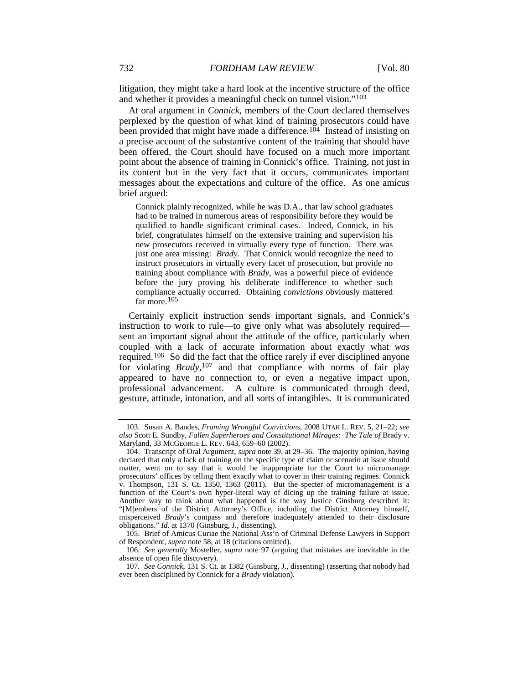<span id="page-18-0"></span>litigation, they might take a hard look at the incentive structure of the office and whether it provides a meaningful check on tunnel vision."[103](#page-18-1)

At oral argument in *Connick*, members of the Court declared themselves perplexed by the question of what kind of training prosecutors could have been provided that might have made a difference.<sup>[104](#page-18-2)</sup> Instead of insisting on a precise account of the substantive content of the training that should have been offered, the Court should have focused on a much more important point about the absence of training in Connick's office. Training, not just in its content but in the very fact that it occurs, communicates important messages about the expectations and culture of the office. As one amicus brief argued:

Connick plainly recognized, while he was D.A., that law school graduates had to be trained in numerous areas of responsibility before they would be qualified to handle significant criminal cases. Indeed, Connick, in his brief, congratulates himself on the extensive training and supervision his new prosecutors received in virtually every type of function. There was just one area missing: *Brady*. That Connick would recognize the need to instruct prosecutors in virtually every facet of prosecution, but provide no training about compliance with *Brady*, was a powerful piece of evidence before the jury proving his deliberate indifference to whether such compliance actually occurred. Obtaining *convictions* obviously mattered far more. [105](#page-18-3)

Certainly explicit instruction sends important signals, and Connick's instruction to work to rule—to give only what was absolutely required sent an important signal about the attitude of the office, particularly when coupled with a lack of accurate information about exactly what *was* required.[106](#page-18-4) So did the fact that the office rarely if ever disciplined anyone for violating *Brady*,[107](#page-18-5) and that compliance with norms of fair play appeared to have no connection to, or even a negative impact upon, professional advancement. A culture is communicated through deed, gesture, attitude, intonation, and all sorts of intangibles. It is communicated

<span id="page-18-3"></span>105. Brief of Amicus Curiae the National Ass'n of Criminal Defense Lawyers in Support of Respondent, *supra* not[e 58,](#page-9-6) at 18 (citations omitted).

<span id="page-18-1"></span><sup>103.</sup> Susan A. Bandes, *Framing Wrongful Convictions*, 2008 UTAH L. REV. 5, 21–22; *see also* Scott E. Sundby, *Fallen Superheroes and Constitutional Mirages: The Tale of* Brady v. Maryland, 33 MCGEORGE L. REV. 643, 659–60 (2002).

<span id="page-18-2"></span><sup>104.</sup> Transcript of Oral Argument, *supra* not[e 39,](#page-6-5) at 29–36. The majority opinion, having declared that only a lack of training on the specific type of claim or scenario at issue should matter, went on to say that it would be inappropriate for the Court to micromanage prosecutors' offices by telling them exactly what to cover in their training regimes. Connick v. Thompson, 131 S. Ct. 1350, 1363 (2011). But the specter of micromanagement is a function of the Court's own hyper-literal way of dicing up the training failure at issue. Another way to think about what happened is the way Justice Ginsburg described it: "[M]embers of the District Attorney's Office, including the District Attorney himself, misperceived *Brady*'s compass and therefore inadequately attended to their disclosure obligations." *Id.* at 1370 (Ginsburg, J., dissenting).

<span id="page-18-4"></span><sup>106</sup>*. See generally* Mosteller, *supra* note [97](#page-16-7) (arguing that mistakes are inevitable in the absence of open file discovery).

<span id="page-18-5"></span><sup>107</sup>*. See Connick*, 131 S. Ct. at 1382 (Ginsburg, J., dissenting) (asserting that nobody had ever been disciplined by Connick for a *Brady* violation).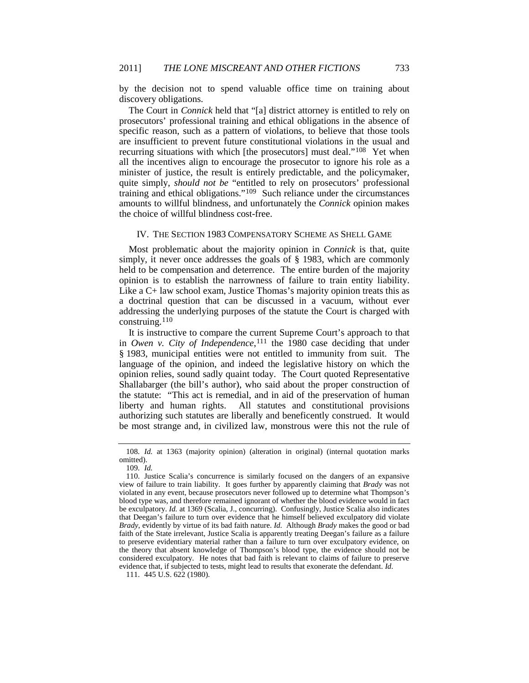by the decision not to spend valuable office time on training about discovery obligations.

The Court in *Connick* held that "[a] district attorney is entitled to rely on prosecutors' professional training and ethical obligations in the absence of specific reason, such as a pattern of violations, to believe that those tools are insufficient to prevent future constitutional violations in the usual and recurring situations with which [the prosecutors] must deal."[108](#page-19-0) Yet when all the incentives align to encourage the prosecutor to ignore his role as a minister of justice, the result is entirely predictable, and the policymaker, quite simply, *should not be* "entitled to rely on prosecutors' professional training and ethical obligations."[109](#page-19-1) Such reliance under the circumstances amounts to willful blindness, and unfortunately the *Connick* opinion makes the choice of willful blindness cost-free.

# IV. THE SECTION 1983 COMPENSATORY SCHEME AS SHELL GAME

Most problematic about the majority opinion in *Connick* is that, quite simply, it never once addresses the goals of § 1983, which are commonly held to be compensation and deterrence. The entire burden of the majority opinion is to establish the narrowness of failure to train entity liability. Like a C+ law school exam, Justice Thomas's majority opinion treats this as a doctrinal question that can be discussed in a vacuum, without ever addressing the underlying purposes of the statute the Court is charged with construing.[110](#page-19-2)

It is instructive to compare the current Supreme Court's approach to that in *Owen v. City of Independence*,<sup>[111](#page-19-3)</sup> the 1980 case deciding that under § 1983, municipal entities were not entitled to immunity from suit. The language of the opinion, and indeed the legislative history on which the opinion relies, sound sadly quaint today. The Court quoted Representative Shallabarger (the bill's author), who said about the proper construction of the statute: "This act is remedial, and in aid of the preservation of human liberty and human rights. All statutes and constitutional provisions authorizing such statutes are liberally and beneficently construed. It would be most strange and, in civilized law, monstrous were this not the rule of

<span id="page-19-3"></span>111. 445 U.S. 622 (1980).

<span id="page-19-0"></span><sup>108</sup>*. Id.* at 1363 (majority opinion) (alteration in original) (internal quotation marks omitted).

<sup>109</sup>*. Id.*

<span id="page-19-2"></span><span id="page-19-1"></span><sup>110.</sup> Justice Scalia's concurrence is similarly focused on the dangers of an expansive view of failure to train liability. It goes further by apparently claiming that *Brady* was not violated in any event, because prosecutors never followed up to determine what Thompson's blood type was, and therefore remained ignorant of whether the blood evidence would in fact be exculpatory. *Id.* at 1369 (Scalia, J., concurring). Confusingly, Justice Scalia also indicates that Deegan's failure to turn over evidence that he himself believed exculpatory did violate *Brady*, evidently by virtue of its bad faith nature. *Id.* Although *Brady* makes the good or bad faith of the State irrelevant, Justice Scalia is apparently treating Deegan's failure as a failure to preserve evidentiary material rather than a failure to turn over exculpatory evidence, on the theory that absent knowledge of Thompson's blood type, the evidence should not be considered exculpatory. He notes that bad faith is relevant to claims of failure to preserve evidence that, if subjected to tests, might lead to results that exonerate the defendant. *Id.*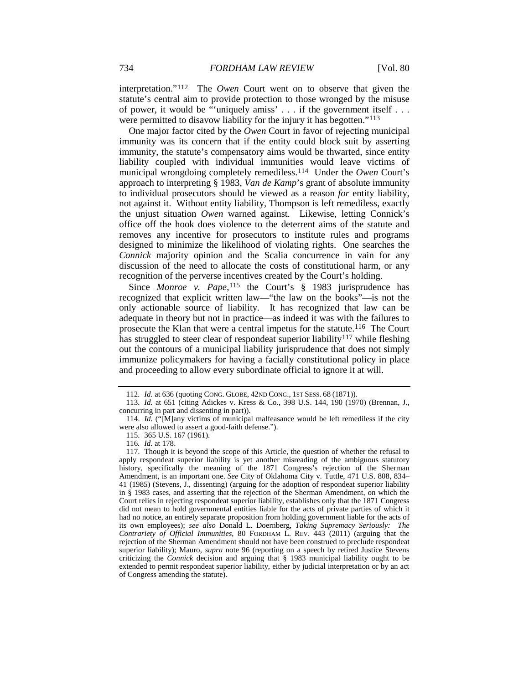interpretation."[112](#page-20-0) The *Owen* Court went on to observe that given the statute's central aim to provide protection to those wronged by the misuse of power, it would be "uniquely amiss' . . . if the government itself . . . were permitted to disavow liability for the injury it has begotten."<sup>[113](#page-20-1)</sup>

One major factor cited by the *Owen* Court in favor of rejecting municipal immunity was its concern that if the entity could block suit by asserting immunity, the statute's compensatory aims would be thwarted, since entity liability coupled with individual immunities would leave victims of municipal wrongdoing completely remediless.[114](#page-20-2) Under the *Owen* Court's approach to interpreting § 1983, *Van de Kamp*'s grant of absolute immunity to individual prosecutors should be viewed as a reason *for* entity liability, not against it. Without entity liability, Thompson is left remediless, exactly the unjust situation *Owen* warned against. Likewise, letting Connick's office off the hook does violence to the deterrent aims of the statute and removes any incentive for prosecutors to institute rules and programs designed to minimize the likelihood of violating rights. One searches the *Connick* majority opinion and the Scalia concurrence in vain for any discussion of the need to allocate the costs of constitutional harm, or any recognition of the perverse incentives created by the Court's holding.

Since *Monroe v. Pape*,<sup>[115](#page-20-3)</sup> the Court's § 1983 jurisprudence has recognized that explicit written law—"the law on the books"—is not the only actionable source of liability. It has recognized that law can be adequate in theory but not in practice—as indeed it was with the failures to prosecute the Klan that were a central impetus for the statute.[116](#page-20-4) The Court has struggled to steer clear of respondeat superior liability<sup>[117](#page-20-5)</sup> while fleshing out the contours of a municipal liability jurisprudence that does not simply immunize policymakers for having a facially constitutional policy in place and proceeding to allow every subordinate official to ignore it at will.

<sup>112</sup>*. Id.* at 636 (quoting CONG. GLOBE, 42ND CONG., 1ST SESS. 68 (1871)).

<span id="page-20-1"></span><span id="page-20-0"></span><sup>113</sup>*. Id.* at 651 (citing Adickes v. Kress & Co., 398 U.S. 144, 190 (1970) (Brennan, J., concurring in part and dissenting in part)).

<span id="page-20-2"></span><sup>114.</sup> *Id.* ("[M]any victims of municipal malfeasance would be left remediless if the city were also allowed to assert a good-faith defense.").

<sup>115.</sup> 365 U.S. 167 (1961).

<sup>116</sup>*. Id.* at 178.

<span id="page-20-5"></span><span id="page-20-4"></span><span id="page-20-3"></span><sup>117.</sup> Though it is beyond the scope of this Article, the question of whether the refusal to apply respondeat superior liability is yet another misreading of the ambiguous statutory history, specifically the meaning of the 1871 Congress's rejection of the Sherman Amendment, is an important one. *See* City of Oklahoma City v. Tuttle, 471 U.S. 808, 834– 41 (1985) (Stevens, J., dissenting) (arguing for the adoption of respondeat superior liability in § 1983 cases, and asserting that the rejection of the Sherman Amendment, on which the Court relies in rejecting respondeat superior liability, establishes only that the 1871 Congress did not mean to hold governmental entities liable for the acts of private parties of which it had no notice, an entirely separate proposition from holding government liable for the acts of its own employees); *see also* Donald L. Doernberg, *Taking Supremacy Seriously: The Contrariety of Official Immunities*, 80 FORDHAM L. REV. 443 (2011) (arguing that the rejection of the Sherman Amendment should not have been construed to preclude respondeat superior liability); Mauro, *supra* note [96](#page-16-0) (reporting on a speech by retired Justice Stevens criticizing the *Connick* decision and arguing that § 1983 municipal liability ought to be extended to permit respondeat superior liability, either by judicial interpretation or by an act of Congress amending the statute).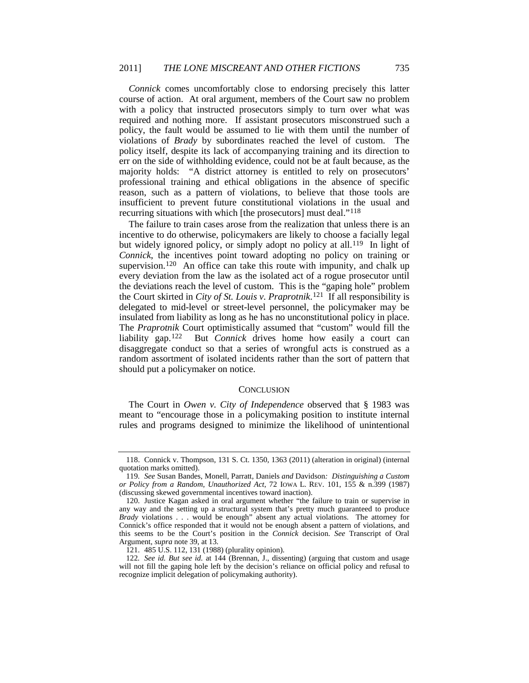*Connick* comes uncomfortably close to endorsing precisely this latter course of action. At oral argument, members of the Court saw no problem with a policy that instructed prosecutors simply to turn over what was required and nothing more. If assistant prosecutors misconstrued such a policy, the fault would be assumed to lie with them until the number of violations of *Brady* by subordinates reached the level of custom. The policy itself, despite its lack of accompanying training and its direction to err on the side of withholding evidence, could not be at fault because, as the majority holds: "A district attorney is entitled to rely on prosecutors' professional training and ethical obligations in the absence of specific reason, such as a pattern of violations, to believe that those tools are insufficient to prevent future constitutional violations in the usual and recurring situations with which [the prosecutors] must deal.["118](#page-21-0)

The failure to train cases arose from the realization that unless there is an incentive to do otherwise, policymakers are likely to choose a facially legal but widely ignored policy, or simply adopt no policy at all.<sup>[119](#page-21-1)</sup> In light of *Connick*, the incentives point toward adopting no policy on training or supervision.<sup>[120](#page-21-2)</sup> An office can take this route with impunity, and chalk up every deviation from the law as the isolated act of a rogue prosecutor until the deviations reach the level of custom. This is the "gaping hole" problem the Court skirted in *City of St. Louis v. Praprotnik*.[121](#page-21-3) If all responsibility is delegated to mid-level or street-level personnel, the policymaker may be insulated from liability as long as he has no unconstitutional policy in place. The *Praprotnik* Court optimistically assumed that "custom" would fill the liability gap.<sup>[122](#page-21-4)</sup> But *Connick* drives home how easily a court can disaggregate conduct so that a series of wrongful acts is construed as a random assortment of isolated incidents rather than the sort of pattern that should put a policymaker on notice.

# **CONCLUSION**

The Court in *Owen v. City of Independence* observed that § 1983 was meant to "encourage those in a policymaking position to institute internal rules and programs designed to minimize the likelihood of unintentional

<span id="page-21-0"></span><sup>118.</sup> Connick v. Thompson, 131 S. Ct. 1350, 1363 (2011) (alteration in original) (internal quotation marks omitted).

<span id="page-21-1"></span><sup>119</sup>*. See* Susan Bandes, Monell*,* Parratt*,* Daniels *and* Davidson*: Distinguishing a Custom or Policy from a Random, Unauthorized Act*, 72 IOWA L. REV. 101, 155 & n.399 (1987) (discussing skewed governmental incentives toward inaction).

<span id="page-21-2"></span><sup>120.</sup> Justice Kagan asked in oral argument whether "the failure to train or supervise in any way and the setting up a structural system that's pretty much guaranteed to produce *Brady* violations . . . would be enough" absent any actual violations. The attorney for Connick's office responded that it would not be enough absent a pattern of violations, and this seems to be the Court's position in the *Connick* decision. *See* Transcript of Oral Argument, *supra* not[e 39,](#page-6-5) at 13.

<sup>121.</sup> 485 U.S. 112, 131 (1988) (plurality opinion).

<span id="page-21-4"></span><span id="page-21-3"></span><sup>122</sup>*. See id. But see id.* at 144 (Brennan, J., dissenting) (arguing that custom and usage will not fill the gaping hole left by the decision's reliance on official policy and refusal to recognize implicit delegation of policymaking authority).